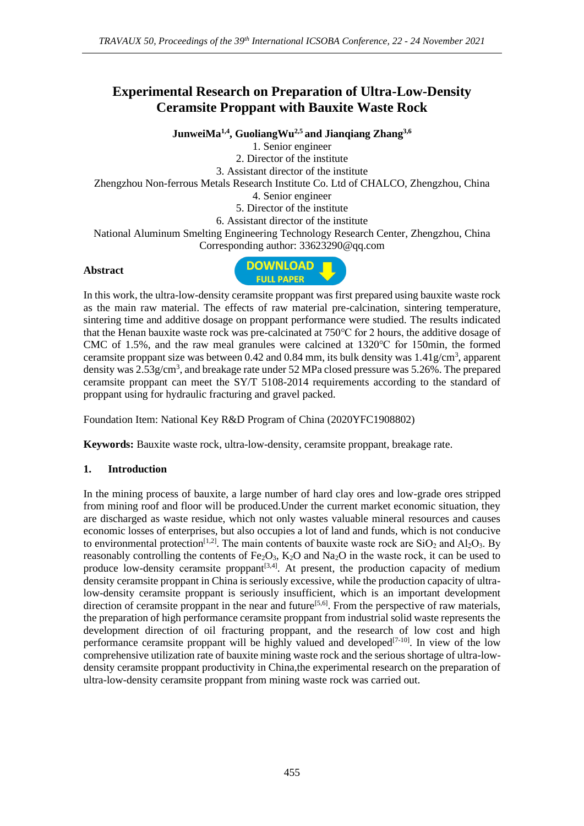# **Experimental Research on Preparation of Ultra-Low-Density Ceramsite Proppant with Bauxite Waste Rock**

**JunweiMa1,4 , GuoliangWu2,5 and Jianqiang Zhang3,6** 1. Senior engineer 2. Director of the institute 3. Assistant director of the institute Zhengzhou Non-ferrous Metals Research Institute Co. Ltd of CHALCO, Zhengzhou, China 4. Senior engineer 5. Director of the institute 6. Assistant director of the institute National Aluminum Smelting Engineering Technology Research Center, Zhengzhou, China Corresponding author: 33623290@qq.com

#### **Abstract**



In this work, the ultra-low-density ceramsite proppant was first prepared using bauxite waste rock as the main raw material. The effects of raw material pre-calcination, sintering temperature, sintering time and additive dosage on proppant performance were studied. The results indicated that the Henan bauxite waste rock was pre-calcinated at 750℃ for 2 hours, the additive dosage of CMC of 1.5%, and the raw meal granules were calcined at 1320℃ for 150min, the formed ceramsite proppant size was between  $0.42$  and  $0.84$  mm, its bulk density was  $1.41$ g/cm<sup>3</sup>, apparent density was 2.53g/cm<sup>3</sup>, and breakage rate under 52 MPa closed pressure was 5.26%. The prepared ceramsite proppant can meet the SY/T 5108-2014 requirements according to the standard of proppant using for hydraulic fracturing and gravel packed.

Foundation Item: National Key R&D Program of China (2020YFC1908802)

**Keywords:** Bauxite waste rock, ultra-low-density, ceramsite proppant, breakage rate.

## **1. Introduction**

In the mining process of bauxite, a large number of hard clay ores and low-grade ores stripped from mining roof and floor will be produced.Under the current market economic situation, they are discharged as waste residue, which not only wastes valuable mineral resources and causes economic losses of enterprises, but also occupies a lot of land and funds, which is not conducive to environmental protection<sup>[1,2]</sup>. The main contents of bauxite waste rock are  $SiO_2$  and  $Al_2O_3$ . By reasonably controlling the contents of  $Fe<sub>2</sub>O<sub>3</sub>$ , K<sub>2</sub>O and Na<sub>2</sub>O in the waste rock, it can be used to produce low-density ceramsite proppant<sup>[3,4]</sup>. At present, the production capacity of medium density ceramsite proppant in China is seriously excessive, while the production capacity of ultralow-density ceramsite proppant is seriously insufficient, which is an important development direction of ceramsite proppant in the near and future<sup>[5,6]</sup>. From the perspective of raw materials, the preparation of high performance ceramsite proppant from industrial solid waste represents the development direction of oil fracturing proppant, and the research of low cost and high performance ceramsite proppant will be highly valued and developed $[7-10]$ . In view of the low comprehensive utilization rate of bauxite mining waste rock and the serious shortage of ultra-lowdensity ceramsite proppant productivity in China,the experimental research on the preparation of ultra-low-density ceramsite proppant from mining waste rock was carried out.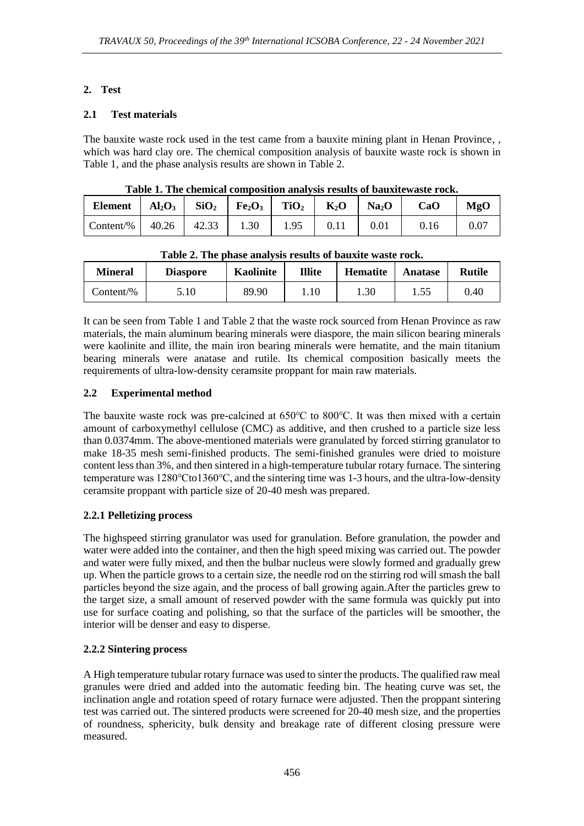#### **2. Test**

#### **2.1 Test materials**

The bauxite waste rock used in the test came from a bauxite mining plant in Henan Province, , which was hard clay ore. The chemical composition analysis of bauxite waste rock is shown in Table 1, and the phase analysis results are shown in Table 2.

| Table 1. The chemical composition analysis results of bauxite waste rock. |  |                                                                                                            |      |      |      |                   |      |          |
|---------------------------------------------------------------------------|--|------------------------------------------------------------------------------------------------------------|------|------|------|-------------------|------|----------|
| <b>Element</b>                                                            |  | $\text{Al}_2\text{O}_3$   $\text{SiO}_2$   $\text{Fe}_2\text{O}_3$   $\text{TiO}_2$   $\text{K}_2\text{O}$ |      |      |      | Na <sub>2</sub> O | CaO  | MgO      |
| Content/%                                                                 |  | $40.26$   42.33                                                                                            | 1.30 | 1.95 | 0.11 | 0.01              | 0.16 | $0.07\,$ |

**Table 1. The chemical composition analysis results of bauxitewaste rock.**

| Tuble 2. The phase and role results of buddite waste rock. |                 |                  |               |                 |         |               |  |
|------------------------------------------------------------|-----------------|------------------|---------------|-----------------|---------|---------------|--|
| <b>Mineral</b>                                             | <b>Diaspore</b> | <b>Kaolinite</b> | <b>Illite</b> | <b>Hematite</b> | Anatase | <b>Rutile</b> |  |
| Content/%                                                  | 5.10            | 89.90            | 1.10          | 1.30            |         | 0.40          |  |

**Table 2. The phase analysis results of bauxite waste rock.**

It can be seen from Table 1 and Table 2 that the waste rock sourced from Henan Province as raw materials, the main aluminum bearing minerals were diaspore, the main silicon bearing minerals were kaolinite and illite, the main iron bearing minerals were hematite, and the main titanium bearing minerals were anatase and rutile. Its chemical composition basically meets the requirements of ultra-low-density ceramsite proppant for main raw materials.

## **2.2 Experimental method**

The bauxite waste rock was pre-calcined at 650℃ to 800℃. It was then mixed with a certain amount of carboxymethyl cellulose (CMC) as additive, and then crushed to a particle size less than 0.0374mm. The above-mentioned materials were granulated by forced stirring granulator to make 18-35 mesh semi-finished products. The semi-finished granules were dried to moisture content less than 3%, and then sintered in a high-temperature tubular rotary furnace. The sintering temperature was 1280℃to1360℃, and the sintering time was 1-3 hours, and the ultra-low-density ceramsite proppant with particle size of 20-40 mesh was prepared.

## **2.2.1 Pelletizing process**

The highspeed stirring granulator was used for granulation. Before granulation, the powder and water were added into the container, and then the high speed mixing was carried out. The powder and water were fully mixed, and then the bulbar nucleus were slowly formed and gradually grew up. When the particle grows to a certain size, the needle rod on the stirring rod will smash the ball particles beyond the size again, and the process of ball growing again.After the particles grew to the target size, a small amount of reserved powder with the same formula was quickly put into use for surface coating and polishing, so that the surface of the particles will be smoother, the interior will be denser and easy to disperse.

## **2.2.2 Sintering process**

A High temperature tubular rotary furnace was used to sinter the products. The qualified raw meal granules were dried and added into the automatic feeding bin. The heating curve was set, the inclination angle and rotation speed of rotary furnace were adjusted. Then the proppant sintering test was carried out. The sintered products were screened for 20-40 mesh size, and the properties of roundness, sphericity, bulk density and breakage rate of different closing pressure were measured.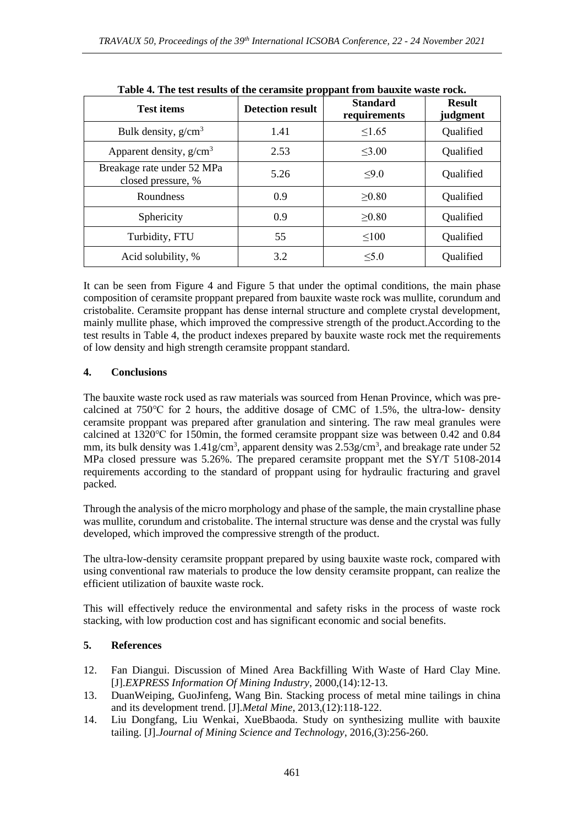| <b>Lavie 4.</b> The test results of the ceramistic proppant from <i>bauxite</i> waste rock. |                         |                                 |                           |  |  |  |  |
|---------------------------------------------------------------------------------------------|-------------------------|---------------------------------|---------------------------|--|--|--|--|
| <b>Test items</b>                                                                           | <b>Detection result</b> | <b>Standard</b><br>requirements | <b>Result</b><br>judgment |  |  |  |  |
| Bulk density, $g/cm3$                                                                       | 1.41                    | $\leq$ 1.65                     | Qualified                 |  |  |  |  |
| Apparent density, $g/cm3$                                                                   | 2.53                    | $\leq$ 3.00                     | Qualified                 |  |  |  |  |
| Breakage rate under 52 MPa<br>closed pressure, %                                            | 5.26                    | $\leq 9.0$                      | Qualified                 |  |  |  |  |
| Roundness                                                                                   | 0.9                     | >0.80                           | Qualified                 |  |  |  |  |
| Sphericity                                                                                  | 0.9                     | >0.80                           | Qualified                 |  |  |  |  |
| Turbidity, FTU                                                                              | 55                      | $\leq 100$                      | Qualified                 |  |  |  |  |
| Acid solubility, %                                                                          | 3.2                     | $\leq 5.0$                      | Qualified                 |  |  |  |  |

**Table 4. The test results of the ceramsite proppant from bauxite waste rock.**

It can be seen from Figure 4 and Figure 5 that under the optimal conditions, the main phase composition of ceramsite proppant prepared from bauxite waste rock was mullite, corundum and cristobalite. Ceramsite proppant has dense internal structure and complete crystal development, mainly mullite phase, which improved the compressive strength of the product.According to the test results in Table 4, the product indexes prepared by bauxite waste rock met the requirements of low density and high strength ceramsite proppant standard.

# **4. Conclusions**

The bauxite waste rock used as raw materials was sourced from Henan Province, which was precalcined at 750℃ for 2 hours, the additive dosage of CMC of 1.5%, the ultra-low- density ceramsite proppant was prepared after granulation and sintering. The raw meal granules were calcined at 1320℃ for 150min, the formed ceramsite proppant size was between 0.42 and 0.84 mm, its bulk density was 1.41g/cm<sup>3</sup>, apparent density was 2.53g/cm<sup>3</sup>, and breakage rate under 52 MPa closed pressure was 5.26%. The prepared ceramsite proppant met the SY/T 5108-2014 requirements according to the standard of proppant using for hydraulic fracturing and gravel packed.

Through the analysis of the micro morphology and phase of the sample, the main crystalline phase was mullite, corundum and cristobalite. The internal structure was dense and the crystal was fully developed, which improved the compressive strength of the product.

The ultra-low-density ceramsite proppant prepared by using bauxite waste rock, compared with using conventional raw materials to produce the low density ceramsite proppant, can realize the efficient utilization of bauxite waste rock.

This will effectively reduce the environmental and safety risks in the process of waste rock stacking, with low production cost and has significant economic and social benefits.

# **5. References**

- 12. Fan Diangui. Discussion of Mined Area Backfilling With Waste of Hard Clay Mine. [J].*EXPRESS Information Of Mining Industry*, 2000,(14):12-13.
- 13. DuanWeiping, GuoJinfeng, Wang Bin. Stacking process of metal mine tailings in china and its development trend. [J].*Metal Mine*, 2013,(12):118-122.
- 14. Liu Dongfang, Liu Wenkai, XueBbaoda. Study on synthesizing mullite with bauxite tailing. [J].*Journal of Mining Science and Technology*, 2016,(3):256-260.